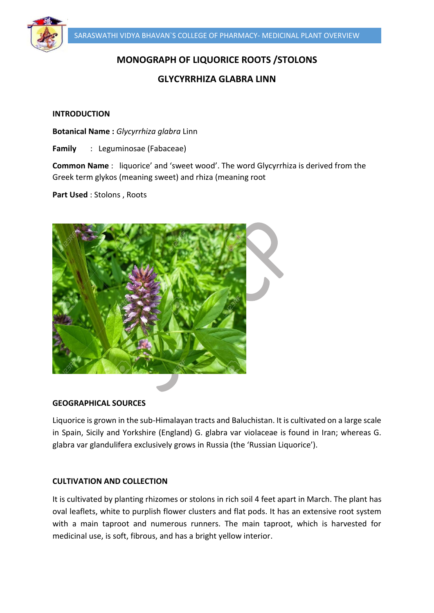

# **MONOGRAPH OF LIQUORICE ROOTS /STOLONS**

## **GLYCYRRHIZA GLABRA LINN**

## **INTRODUCTION**

**Botanical Name :** *Glycyrrhiza glabra* Linn

**Family** : Leguminosae (Fabaceae)

**Common Name** : liquorice' and 'sweet wood'. The word Glycyrrhiza is derived from the Greek term glykos (meaning sweet) and rhiza (meaning root

**Part Used** : Stolons , Roots



#### **GEOGRAPHICAL SOURCES**

Liquorice is grown in the sub-Himalayan tracts and Baluchistan. It is cultivated on a large scale in Spain, Sicily and Yorkshire (England) G. glabra var violaceae is found in Iran; whereas G. glabra var glandulifera exclusively grows in Russia (the 'Russian Liquorice').

## **CULTIVATION AND COLLECTION**

It is cultivated by planting rhizomes or stolons in rich soil 4 feet apart in March. The plant has oval leaflets, white to purplish flower clusters and flat pods. It has an extensive root system with a main taproot and numerous runners. The main taproot, which is harvested for medicinal use, is soft, fibrous, and has a bright yellow interior.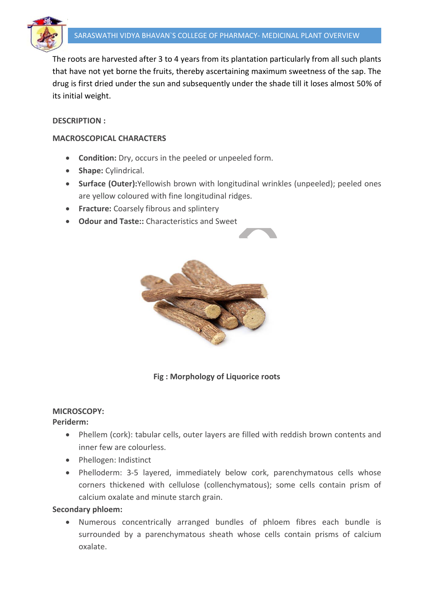

The roots are harvested after 3 to 4 years from its plantation particularly from all such plants that have not yet borne the fruits, thereby ascertaining maximum sweetness of the sap. The drug is first dried under the sun and subsequently under the shade till it loses almost 50% of its initial weight.

## **DESCRIPTION :**

## **MACROSCOPICAL CHARACTERS**

- **Condition:** Dry, occurs in the peeled or unpeeled form.
- **Shape:** Cylindrical.
- **Surface (Outer):**Yellowish brown with longitudinal wrinkles (unpeeled); peeled ones are yellow coloured with fine longitudinal ridges.
- **Fracture:** Coarsely fibrous and splintery
- **Odour and Taste::** Characteristics and Sweet



 **Fig : Morphology of Liquorice roots**

## **MICROSCOPY:**

## **Periderm:**

- Phellem (cork): tabular cells, outer layers are filled with reddish brown contents and inner few are colourless.
- Phellogen: Indistinct
- Phelloderm: 3-5 layered, immediately below cork, parenchymatous cells whose corners thickened with cellulose (collenchymatous); some cells contain prism of calcium oxalate and minute starch grain.

## **Secondary phloem:**

 Numerous concentrically arranged bundles of phloem fibres each bundle is surrounded by a parenchymatous sheath whose cells contain prisms of calcium oxalate.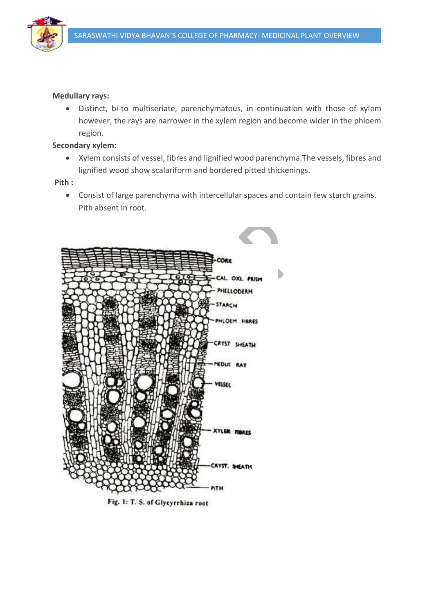

#### **Medullary rays:**

 Distinct, bi-to multiseriate, parenchymatous, in continuation with those of xylem however, the rays are narrower in the xylem region and become wider in the phloem region.

#### **Secondary xylem:**

 Xylem consists of vessel, fibres and lignified wood parenchyma.The vessels, fibres and lignified wood show scalariform and bordered pitted thickenings.

**Pith :**

 Consist of large parenchyma with intercellular spaces and contain few starch grains. Pith absent in root.



Fig. 1: T. S. of Glycyrrhiza root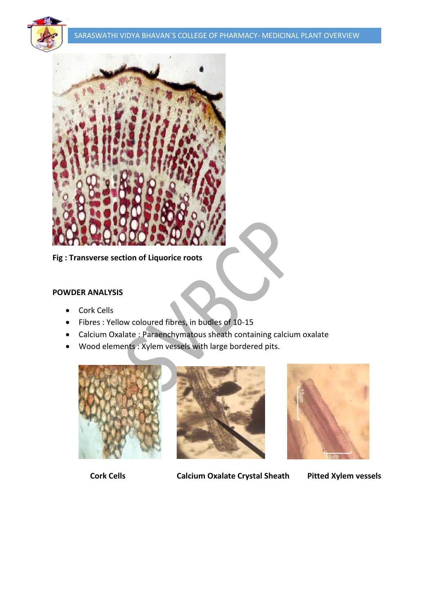



**Fig : Transverse section of Liquorice roots**

## **POWDER ANALYSIS**

- Cork Cells
- Fibres : Yellow coloured fibres, in budles of 10-15
- Calcium Oxalate : Paraenchymatous sheath containing calcium oxalate
- Wood elements : Xylem vessels with large bordered pits.





 **Cork Cells Calcium Oxalate Crystal Sheath Pitted Xylem vessels**

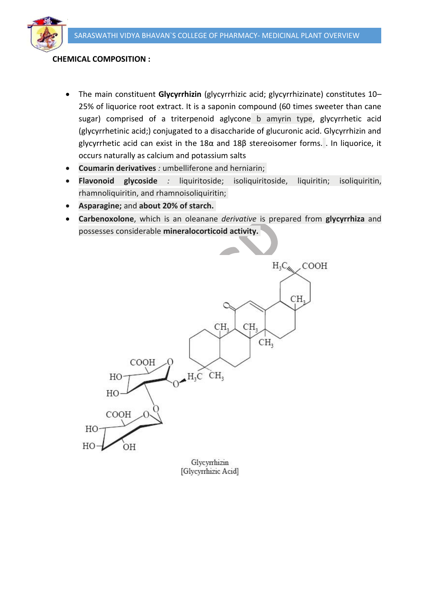

## **CHEMICAL COMPOSITION :**

- The main constituent **Glycyrrhizin** (glycyrrhizic acid; glycyrrhizinate) constitutes 10– 25% of liquorice root extract. It is a saponin compound (60 times sweeter than cane sugar) comprised of a triterpenoid aglycone b amyrin type, glycyrrhetic acid (glycyrrhetinic acid;) conjugated to a disaccharide of glucuronic acid. Glycyrrhizin and glycyrrhetic acid can exist in the 18α and 18β stereoisomer forms. . In liquorice, it occurs naturally as calcium and potassium salts
- **Coumarin derivatives** *:* umbelliferone and herniarin;
- **Flavonoid glycoside** *:* liquiritoside; isoliquiritoside, liquiritin; isoliquiritin, rhamnoliquiritin, and rhamnoisoliquiritin;
- **Asparagine;** and **about 20% of starch.**
- **Carbenoxolone**, which is an oleanane *derivative* is prepared from **glycyrrhiza** and possesses considerable **mineralocorticoid activity.**



[Glycyrrhizic Acid]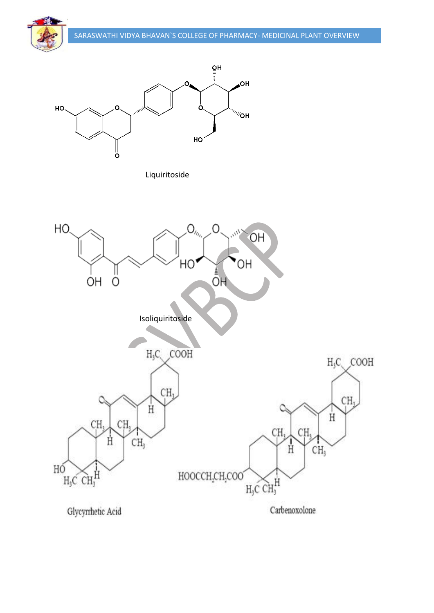

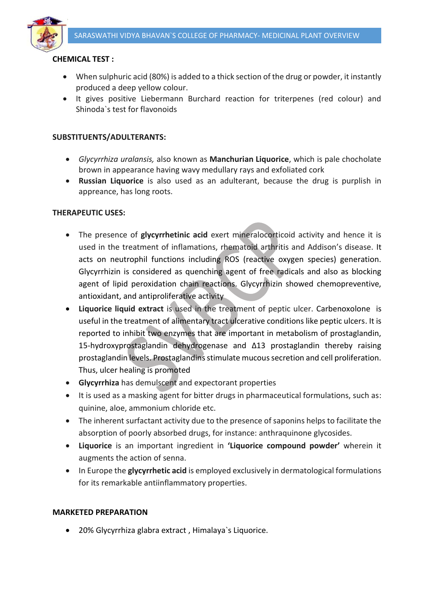

## **CHEMICAL TEST :**

- When sulphuric acid (80%) is added to a thick section of the drug or powder, it instantly produced a deep yellow colour.
- It gives positive Liebermann Burchard reaction for triterpenes (red colour) and Shinoda`s test for flavonoids

## **SUBSTITUENTS/ADULTERANTS:**

- *Glycyrrhiza uralansis,* also known as **Manchurian Liquorice**, which is pale chocholate brown in appearance having wavy medullary rays and exfoliated cork
- **Russian Liquorice** is also used as an adulterant, because the drug is purplish in appreance, has long roots.

## **THERAPEUTIC USES:**

- The presence of **glycyrrhetinic acid** exert mineralocorticoid activity and hence it is used in the treatment of inflamations, rhematoid arthritis and Addison's disease. It acts on neutrophil functions including ROS (reactive oxygen species) generation. Glycyrrhizin is considered as quenching agent of free radicals and also as blocking agent of lipid peroxidation chain reactions. Glycyrrhizin showed chemopreventive, antioxidant, and antiproliferative activity
- **Liquorice liquid extract** is used in the treatment of peptic ulcer. Carbenoxolone is useful in the treatment of alimentary tract ulcerative conditions like peptic ulcers. It is reported to inhibit two enzymes that are important in metabolism of prostaglandin, 15-hydroxyprostaglandin dehydrogenase and Δ13 prostaglandin thereby raising prostaglandin levels. Prostaglandins stimulate mucous secretion and cell proliferation. Thus, ulcer healing is promoted
- **Glycyrrhiza** has demulscent and expectorant properties
- It is used as a masking agent for bitter drugs in pharmaceutical formulations, such as: quinine, aloe, ammonium chloride etc.
- The inherent surfactant activity due to the presence of saponins helps to facilitate the absorption of poorly absorbed drugs, for instance: anthraquinone glycosides.
- **Liquorice** is an important ingredient in **'Liquorice compound powder'** wherein it augments the action of senna.
- In Europe the **glycyrrhetic acid** is employed exclusively in dermatological formulations for its remarkable antiinflammatory properties.

## **MARKETED PREPARATION**

20% Glycyrrhiza glabra extract , Himalaya`s Liquorice.